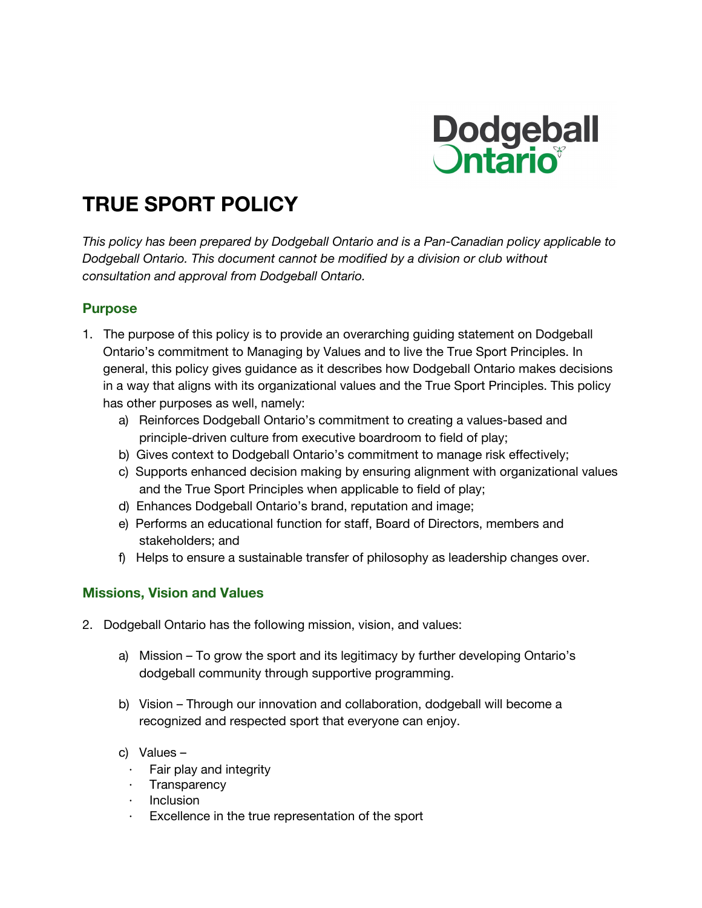

# **TRUE SPORT POLICY**

*This policy has been prepared by Dodgeball Ontario and is a Pan-Canadian policy applicable to Dodgeball Ontario. This document cannot be modified by a division or club without consultation and approval from Dodgeball Ontario.*

# **Purpose**

- 1. The purpose of this policy is to provide an overarching guiding statement on Dodgeball Ontario's commitment to Managing by Values and to live the True Sport Principles. In general, this policy gives guidance as it describes how Dodgeball Ontario makes decisions in a way that aligns with its organizational values and the True Sport Principles. This policy has other purposes as well, namely:
	- a) Reinforces Dodgeball Ontario's commitment to creating a values-based and principle-driven culture from executive boardroom to field of play;
	- b) Gives context to Dodgeball Ontario's commitment to manage risk effectively;
	- c) Supports enhanced decision making by ensuring alignment with organizational values and the True Sport Principles when applicable to field of play;
	- d) Enhances Dodgeball Ontario's brand, reputation and image;
	- e) Performs an educational function for staff, Board of Directors, members and stakeholders; and
	- f) Helps to ensure a sustainable transfer of philosophy as leadership changes over.

# **Missions, Vision and Values**

- 2. Dodgeball Ontario has the following mission, vision, and values:
	- a) Mission To grow the sport and its legitimacy by further developing Ontario's dodgeball community through supportive programming.
	- b) Vision Through our innovation and collaboration, dodgeball will become a recognized and respected sport that everyone can enjoy.
	- c) Values
		- Fair play and integrity
		- **Transparency**
		- **Inclusion**
		- Excellence in the true representation of the sport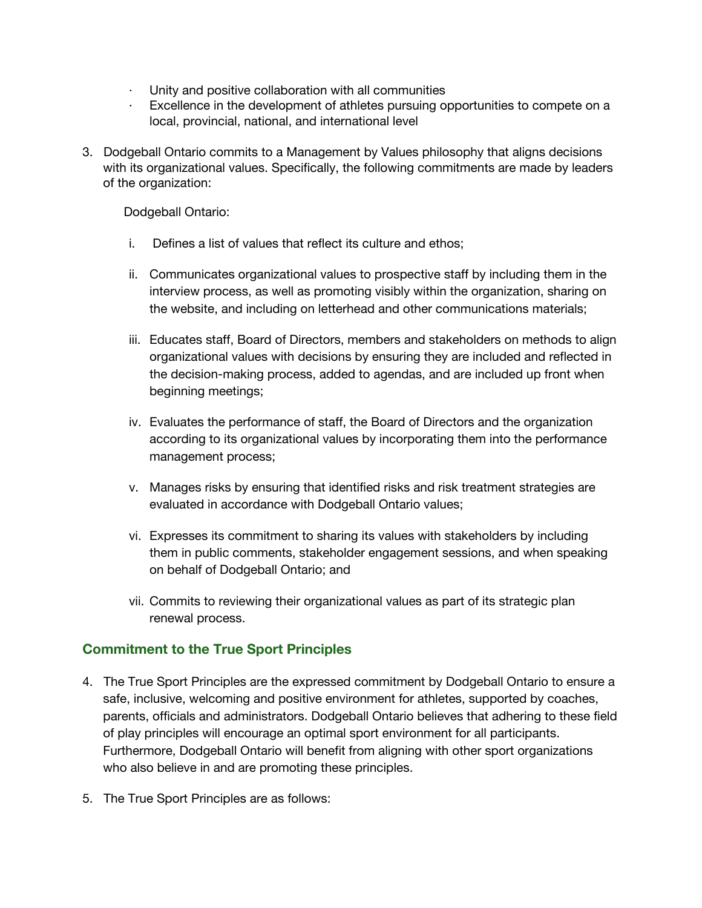- Unity and positive collaboration with all communities
- Excellence in the development of athletes pursuing opportunities to compete on a local, provincial, national, and international level
- 3. Dodgeball Ontario commits to a Management by Values philosophy that aligns decisions with its organizational values. Specifically, the following commitments are made by leaders of the organization:

Dodgeball Ontario:

- i. Defines a list of values that reflect its culture and ethos;
- ii. Communicates organizational values to prospective staff by including them in the interview process, as well as promoting visibly within the organization, sharing on the website, and including on letterhead and other communications materials;
- iii. Educates staff, Board of Directors, members and stakeholders on methods to align organizational values with decisions by ensuring they are included and reflected in the decision-making process, added to agendas, and are included up front when beginning meetings;
- iv. Evaluates the performance of staff, the Board of Directors and the organization according to its organizational values by incorporating them into the performance management process;
- v. Manages risks by ensuring that identified risks and risk treatment strategies are evaluated in accordance with Dodgeball Ontario values;
- vi. Expresses its commitment to sharing its values with stakeholders by including them in public comments, stakeholder engagement sessions, and when speaking on behalf of Dodgeball Ontario; and
- vii. Commits to reviewing their organizational values as part of its strategic plan renewal process.

# **Commitment to the True Sport Principles**

- 4. The True Sport Principles are the expressed commitment by Dodgeball Ontario to ensure a safe, inclusive, welcoming and positive environment for athletes, supported by coaches, parents, officials and administrators. Dodgeball Ontario believes that adhering to these field of play principles will encourage an optimal sport environment for all participants. Furthermore, Dodgeball Ontario will benefit from aligning with other sport organizations who also believe in and are promoting these principles.
- 5. The True Sport Principles are as follows: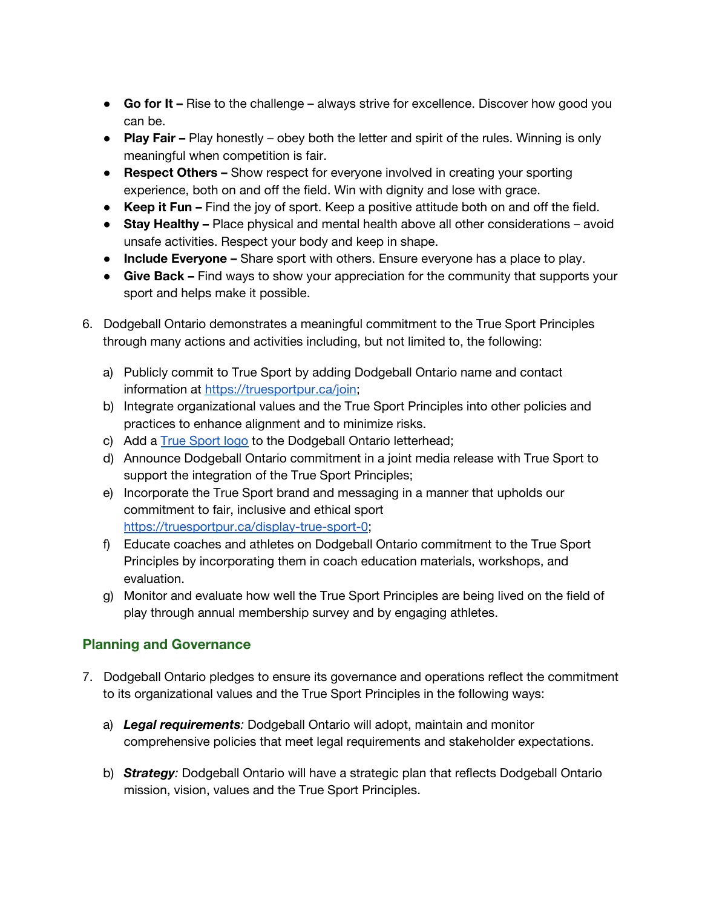- **Go for It –** Rise to the challenge always strive for excellence. Discover how good you can be.
- **Play Fair –** Play honestly obey both the letter and spirit of the rules. Winning is only meaningful when competition is fair.
- **Respect Others –** Show respect for everyone involved in creating your sporting experience, both on and off the field. Win with dignity and lose with grace.
- **Keep it Fun –** Find the joy of sport. Keep a positive attitude both on and off the field.
- **Stay Healthy –** Place physical and mental health above all other considerations avoid unsafe activities. Respect your body and keep in shape.
- **Include Everyone –** Share sport with others. Ensure everyone has a place to play.
- **Give Back –** Find ways to show your appreciation for the community that supports your sport and helps make it possible.
- 6. Dodgeball Ontario demonstrates a meaningful commitment to the True Sport Principles through many actions and activities including, but not limited to, the following:
	- a) Publicly commit to True Sport by adding Dodgeball Ontario name and contact information at [https://truesportpur.ca/join;](https://truesportpur.ca/join)
	- b) Integrate organizational values and the True Sport Principles into other policies and practices to enhance alignment and to minimize risks.
	- c) Add [a](https://truesportpur.ca/true-sport-logo) True [Sport](https://truesportpur.ca/true-sport-logo) logo to the Dodgeball Ontario letterhead;
	- d) Announce Dodgeball Ontario commitment in a joint media release with True Sport to support the integration of the True Sport Principles;
	- e) Incorporate the True Sport brand and messaging in a manner that upholds our commitment to fair, inclusive and ethical sport <https://truesportpur.ca/display-true-sport-0>;
	- f) Educate coaches and athletes on Dodgeball Ontario commitment to the True Sport Principles by incorporating them in coach education materials, workshops, and evaluation.
	- g) Monitor and evaluate how well the True Sport Principles are being lived on the field of play through annual membership survey and by engaging athletes.

# **Planning and Governance**

- 7. Dodgeball Ontario pledges to ensure its governance and operations reflect the commitment to its organizational values and the True Sport Principles in the following ways:
	- a) *Legal requirements:* Dodgeball Ontario will adopt, maintain and monitor comprehensive policies that meet legal requirements and stakeholder expectations.
	- b) *Strategy:* Dodgeball Ontario will have a strategic plan that reflects Dodgeball Ontario mission, vision, values and the True Sport Principles.